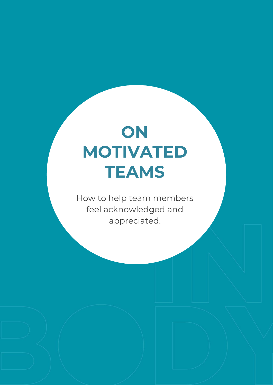# **ON MOTIVATED TEAMS**

How to help team members feel acknowledged and appreciated.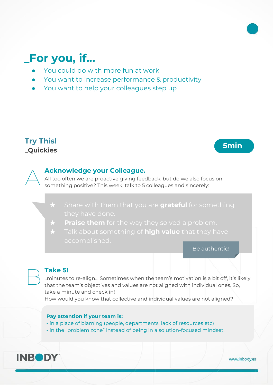## **\_For you, if...**

- You could do with more fun at work
- You want to increase performance & productivity
- You want to help your colleagues step up

### **Try This! \_Quickies 5min**



#### **Acknowledge your Colleague.**

All too often we are proactive giving feedback, but do we also focus on something positive? This week, talk to 5 colleagues and sincerely:

**Share with them that you are grateful** for something

★ **Praise them** for the way they solved a problem.

★ Talk about something of **high value** that they have

Be authentic!

#### **Take 5!**

..minutes to re-align… Sometimes when the team's motivation is a bit off, it's likely that the team's objectives and values are not aligned with individual ones. So, take a minute and check in!

How would you know that collective and individual values are not aligned?

#### **Pay attention if your team is:**

- in a place of blaming (people, departments, lack of resources etc)

- in the "problem zone" instead of being in a solution-focused mindset.



www.inbody.es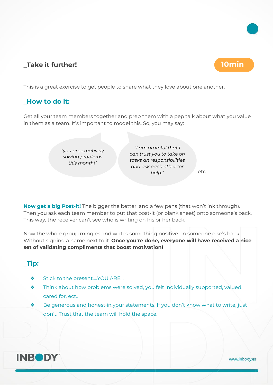#### **\_Take it further! 10min**

This is a great exercise to get people to share what they love about one another.

### **\_How to do it:**

Get all your team members together and prep them with a pep talk about what you value in them as a team. It's important to model this. So, you may say:

> *"you are creatively solving problems this month!"*

*"I am grateful that I can trust you to take on tasks an responsibilities and ask each other for help."* etc…

**Now get a big Post-it!** The bigger the better, and a few pens (that won't ink through). Then you ask each team member to put that post-it (or blank sheet) onto someone's back. This way, the receiver can't see who is writing on his or her back.

Now the whole group mingles and writes something positive on someone else's back. Without signing a name next to it. **Once you're done, everyone will have received a nice set of validating compliments that boost motivation!**

### **\_Tip:**

- ❖ Stick to the present….YOU ARE…
- ❖ Think about how problems were solved, you felt individually supported, valued, cared for, ect..
- ❖ Be generous and honest in your statements. If you don't know what to write, just don't. Trust that the team will hold the space.





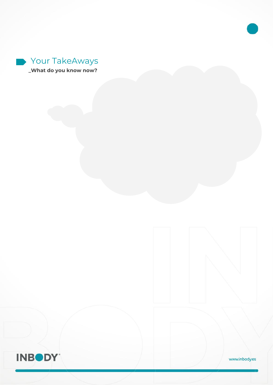



www.inbody.es